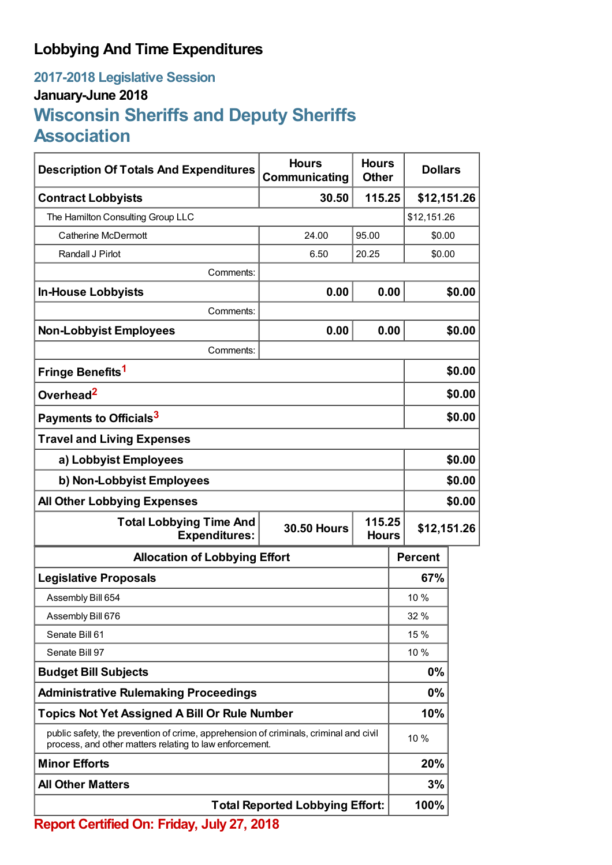## **Lobbying And Time Expenditures**

## **2017-2018 Legislative Session January-June 2018 Wisconsin Sheriffs and Deputy Sheriffs Association**

| <b>Description Of Totals And Expenditures</b>                                                                                                    | <b>Hours</b><br>Communicating          | <b>Hours</b><br><b>Other</b> | <b>Dollars</b> |        |
|--------------------------------------------------------------------------------------------------------------------------------------------------|----------------------------------------|------------------------------|----------------|--------|
| <b>Contract Lobbyists</b>                                                                                                                        | 30.50                                  | 115.25                       | \$12,151.26    |        |
| The Hamilton Consulting Group LLC                                                                                                                |                                        |                              | \$12,151.26    |        |
| <b>Catherine McDermott</b>                                                                                                                       | 24.00                                  | 95.00                        | \$0.00         |        |
| Randall J Pirlot                                                                                                                                 | 6.50                                   | 20.25                        | \$0.00         |        |
| Comments:                                                                                                                                        |                                        |                              |                |        |
| <b>In-House Lobbyists</b>                                                                                                                        | 0.00                                   | 0.00                         |                | \$0.00 |
| Comments:                                                                                                                                        |                                        |                              |                |        |
| <b>Non-Lobbyist Employees</b>                                                                                                                    | 0.00                                   | 0.00                         |                | \$0.00 |
| Comments:                                                                                                                                        |                                        |                              |                |        |
| Fringe Benefits <sup>1</sup>                                                                                                                     |                                        |                              |                | \$0.00 |
| Overhead <sup>2</sup>                                                                                                                            |                                        |                              |                | \$0.00 |
| Payments to Officials <sup>3</sup>                                                                                                               |                                        |                              |                | \$0.00 |
| <b>Travel and Living Expenses</b>                                                                                                                |                                        |                              |                |        |
| a) Lobbyist Employees                                                                                                                            |                                        |                              |                | \$0.00 |
| b) Non-Lobbyist Employees                                                                                                                        |                                        |                              | \$0.00         |        |
| <b>All Other Lobbying Expenses</b>                                                                                                               |                                        |                              |                | \$0.00 |
| <b>Total Lobbying Time And</b><br><b>30.50 Hours</b><br><b>Expenditures:</b>                                                                     |                                        | 115.25<br><b>Hours</b>       | \$12,151.26    |        |
| <b>Allocation of Lobbying Effort</b>                                                                                                             |                                        |                              | <b>Percent</b> |        |
| <b>Legislative Proposals</b>                                                                                                                     |                                        |                              | 67%            |        |
| Assembly Bill 654                                                                                                                                |                                        |                              | 10 %           |        |
| Assembly Bill 676                                                                                                                                |                                        |                              | 32 %           |        |
| Senate Bill 61                                                                                                                                   |                                        |                              | 15 %           |        |
| Senate Bill 97                                                                                                                                   |                                        |                              | 10%            |        |
| <b>Budget Bill Subjects</b>                                                                                                                      |                                        |                              | 0%             |        |
| <b>Administrative Rulemaking Proceedings</b>                                                                                                     |                                        |                              | 0%             |        |
| <b>Topics Not Yet Assigned A Bill Or Rule Number</b>                                                                                             |                                        |                              | 10%            |        |
| public safety, the prevention of crime, apprehension of criminals, criminal and civil<br>process, and other matters relating to law enforcement. |                                        |                              | 10 %           |        |
| <b>Minor Efforts</b>                                                                                                                             |                                        |                              | 20%            |        |
| <b>All Other Matters</b>                                                                                                                         |                                        |                              | 3%             |        |
|                                                                                                                                                  | <b>Total Reported Lobbying Effort:</b> |                              | 100%           |        |
| Report Certified On: Friday, July 27, 2018                                                                                                       |                                        |                              |                |        |